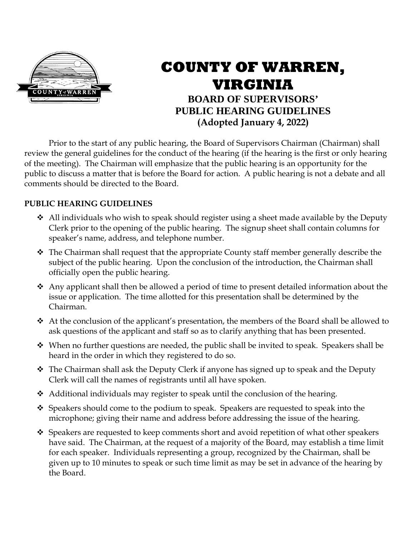

## **COUNTY OF WARREN, VIRGINIA BOARD OF SUPERVISORS' PUBLIC HEARING GUIDELINES (Adopted January 4, 2022)**

Prior to the start of any public hearing, the Board of Supervisors Chairman (Chairman) shall review the general guidelines for the conduct of the hearing (if the hearing is the first or only hearing of the meeting). The Chairman will emphasize that the public hearing is an opportunity for the public to discuss a matter that is before the Board for action. A public hearing is not a debate and all comments should be directed to the Board.

## **PUBLIC HEARING GUIDELINES**

- $\triangleleft$  All individuals who wish to speak should register using a sheet made available by the Deputy Clerk prior to the opening of the public hearing. The signup sheet shall contain columns for speaker's name, address, and telephone number.
- \* The Chairman shall request that the appropriate County staff member generally describe the subject of the public hearing. Upon the conclusion of the introduction, the Chairman shall officially open the public hearing.
- $\triangleleft$  Any applicant shall then be allowed a period of time to present detailed information about the issue or application. The time allotted for this presentation shall be determined by the Chairman.
- At the conclusion of the applicant's presentation, the members of the Board shall be allowed to ask questions of the applicant and staff so as to clarify anything that has been presented.
- $\div$  When no further questions are needed, the public shall be invited to speak. Speakers shall be heard in the order in which they registered to do so.
- $\hat{\mathbf{v}}$  The Chairman shall ask the Deputy Clerk if anyone has signed up to speak and the Deputy Clerk will call the names of registrants until all have spoken.
- $\triangleleft$  Additional individuals may register to speak until the conclusion of the hearing.
- $\hat{\mathbf{v}}$  Speakers should come to the podium to speak. Speakers are requested to speak into the microphone; giving their name and address before addressing the issue of the hearing.
- $\div$  Speakers are requested to keep comments short and avoid repetition of what other speakers have said. The Chairman, at the request of a majority of the Board, may establish a time limit for each speaker. Individuals representing a group, recognized by the Chairman, shall be given up to 10 minutes to speak or such time limit as may be set in advance of the hearing by the Board.